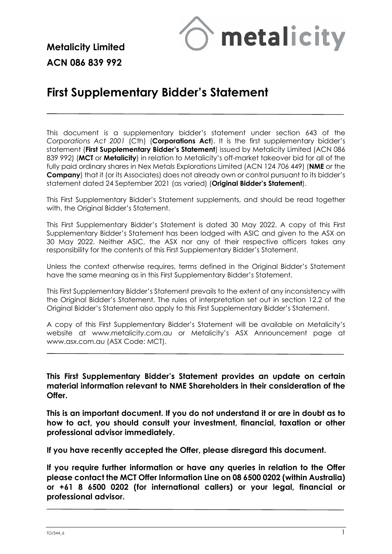

**Metalicity Limited ACN 086 839 992**

# **First Supplementary Bidder's Statement**

This document is a supplementary bidder's statement under section 643 of the *Corporations Act 2001* (Cth) (**Corporations Act**). It is the first supplementary bidder's statement (**First Supplementary Bidder's Statement**) issued by Metalicity Limited (ACN 086 839 992) (**MCT** or **Metalicity**) in relation to Metalicity's off-market takeover bid for all of the fully paid ordinary shares in Nex Metals Explorations Limited (ACN 124 706 449) (**NME** or the **Company**) that it (or its Associates) does not already own or control pursuant to its bidder's statement dated 24 September 2021 (as varied) (**Original Bidder's Statement**).

This First Supplementary Bidder's Statement supplements, and should be read together with, the Original Bidder's Statement.

This First Supplementary Bidder's Statement is dated 30 May 2022. A copy of this First Supplementary Bidder's Statement has been lodged with ASIC and given to the ASX on 30 May 2022. Neither ASIC, the ASX nor any of their respective officers takes any responsibility for the contents of this First Supplementary Bidder's Statement.

Unless the context otherwise requires, terms defined in the Original Bidder's Statement have the same meaning as in this First Supplementary Bidder's Statement.

This First Supplementary Bidder's Statement prevails to the extent of any inconsistency with the Original Bidder's Statement. The rules of interpretation set out in section 12.2 of the Original Bidder's Statement also apply to this First Supplementary Bidder's Statement.

A copy of this First Supplementary Bidder's Statement will be available on Metalicity's website at [www.metalicity.com.au](http://www.metalicity.com.au/) or Metalicity's ASX Announcement page at [www.asx.com.au](http://www.asx.com.au/) (ASX Code: MCT).

**This First Supplementary Bidder's Statement provides an update on certain material information relevant to NME Shareholders in their consideration of the Offer.** 

**This is an important document. If you do not understand it or are in doubt as to how to act, you should consult your investment, financial, taxation or other professional advisor immediately.** 

**If you have recently accepted the Offer, please disregard this document.** 

**If you require further information or have any queries in relation to the Offer please contact the MCT Offer Information Line on 08 6500 0202 (within Australia) or +61 8 6500 0202 (for international callers) or your legal, financial or professional advisor.**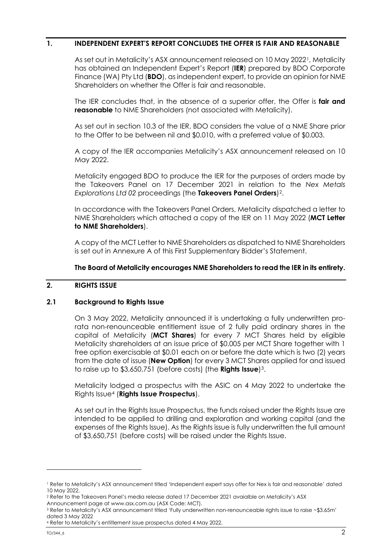#### **1. INDEPENDENT EXPERT'S REPORT CONCLUDES THE OFFER IS FAIR AND REASONABLE**

As set out in Metalicity's ASX announcement released on 10 May 2022[1](#page-1-0), Metalicity has obtained an Independent Expert's Report (**IER**) prepared by BDO Corporate Finance (WA) Pty Ltd (**BDO**), as independent expert, to provide an opinion for NME Shareholders on whether the Offer is fair and reasonable.

The IER concludes that, in the absence of a superior offer, the Offer is **fair and reasonable** to NME Shareholders (not associated with Metalicity).

As set out in section 10.3 of the IER, BDO considers the value of a NME Share prior to the Offer to be between nil and \$0.010, with a preferred value of \$0.003.

A copy of the IER accompanies Metalicity's ASX announcement released on 10 May 2022.

Metalicity engaged BDO to produce the IER for the purposes of orders made by the Takeovers Panel on 17 December 2021 in relation to the *Nex Metals Explorations Ltd 02* proceedings (the **Takeovers Panel Orders**[\)2](#page-1-1).

In accordance with the Takeovers Panel Orders, Metalicity dispatched a letter to NME Shareholders which attached a copy of the IER on 11 May 2022 (**MCT Letter to NME Shareholders**).

A copy of the MCT Letter to NME Shareholders as dispatched to NME Shareholders is set out in Annexure A of this First Supplementary Bidder's Statement.

#### **The Board of Metalicity encourages NME Shareholders to read the IER in its entirety.**

#### **2. RIGHTS ISSUE**

#### **2.1 Background to Rights Issue**

On 3 May 2022, Metalicity announced it is undertaking a fully underwritten prorata non-renounceable entitlement issue of 2 fully paid ordinary shares in the capital of Metalicity (**MCT Shares**) for every 7 MCT Shares held by eligible Metalicity shareholders at an issue price of \$0.005 per MCT Share together with 1 free option exercisable at \$0.01 each on or before the date which is two (2) years from the date of issue (**New Option**) for every 3 MCT Shares applied for and issued to raise up to \$3,650,751 (before costs) (the **Rights Issue**)[3.](#page-1-2)

Metalicity lodged a prospectus with the ASIC on 4 May 2022 to undertake the Rights Issue[4](#page-1-3) (**Rights Issue Prospectus**).

As set out in the Rights Issue Prospectus, the funds raised under the Rights Issue are intended to be applied to drilling and exploration and working capital (and the expenses of the Rights Issue). As the Rights issue is fully underwritten the full amount of \$3,650,751 (before costs) will be raised under the Rights Issue.

<span id="page-1-0"></span><sup>1</sup> Refer to Metalicity's ASX announcement titled 'Independent expert says offer for Nex is fair and reasonable' dated 10 May 2022.

<span id="page-1-1"></span><sup>2</sup> Refer to the Takeovers Panel's media release dated 17 December 2021 avaialble on Metalicity's ASX

<span id="page-1-2"></span>Announcement page at www.asx.com.au (ASX Code: MCT).<br>3 Refer to Metalicity's ASX announcement titled 'Fully underwritten non-renounceable rights issue to raise ~\$3.65m' dated 3 May 2022

<span id="page-1-3"></span><sup>4</sup> Refer to Metalicity's entitlement issue prospectus dated 4 May 2022.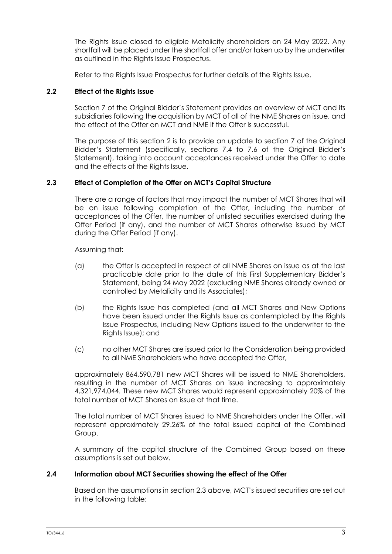The Rights Issue closed to eligible Metalicity shareholders on 24 May 2022. Any shortfall will be placed under the shortfall offer and/or taken up by the underwriter as outlined in the Rights Issue Prospectus.

Refer to the Rights Issue Prospectus for further details of the Rights Issue.

# **2.2 Effect of the Rights Issue**

Section 7 of the Original Bidder's Statement provides an overview of MCT and its subsidiaries following the acquisition by MCT of all of the NME Shares on issue, and the effect of the Offer on MCT and NME if the Offer is successful.

The purpose of this section 2 is to provide an update to section 7 of the Original Bidder's Statement (specifically, sections 7.4 to 7.6 of the Original Bidder's Statement), taking into account acceptances received under the Offer to date and the effects of the Rights Issue.

# **2.3 Effect of Completion of the Offer on MCT's Capital Structure**

There are a range of factors that may impact the number of MCT Shares that will be on issue following completion of the Offer, including the number of acceptances of the Offer, the number of unlisted securities exercised during the Offer Period (if any), and the number of MCT Shares otherwise issued by MCT during the Offer Period (if any).

Assuming that:

- (a) the Offer is accepted in respect of all NME Shares on issue as at the last practicable date prior to the date of this First Supplementary Bidder's Statement, being 24 May 2022 (excluding NME Shares already owned or controlled by Metalicity and its Associates);
- (b) the Rights Issue has completed (and all MCT Shares and New Options have been issued under the Rights Issue as contemplated by the Rights Issue Prospectus, including New Options issued to the underwriter to the Rights Issue); and
- (c) no other MCT Shares are issued prior to the Consideration being provided to all NME Shareholders who have accepted the Offer,

approximately 864,590,781 new MCT Shares will be issued to NME Shareholders, resulting in the number of MCT Shares on issue increasing to approximately 4,321,974,044. These new MCT Shares would represent approximately 20% of the total number of MCT Shares on issue at that time.

The total number of MCT Shares issued to NME Shareholders under the Offer, will represent approximately 29.26% of the total issued capital of the Combined Group.

A summary of the capital structure of the Combined Group based on these assumptions is set out below.

# **2.4 Information about MCT Securities showing the effect of the Offer**

Based on the assumptions in section 2.3 above, MCT's issued securities are set out in the following table: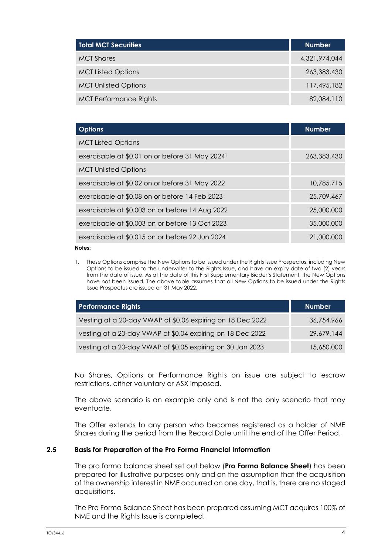| Total MCT Secu <u>rities</u>  | <b>Number</b> |
|-------------------------------|---------------|
| <b>MCT</b> Shares             | 4,321,974,044 |
| <b>MCT Listed Options</b>     | 263,383,430   |
| <b>MCT Unlisted Options</b>   | 117,495,182   |
| <b>MCT Performance Rights</b> | 82,084,110    |

| <b>Options</b>                                              | <b>Number</b> |
|-------------------------------------------------------------|---------------|
| <b>MCT Listed Options</b>                                   |               |
| exercisable at \$0.01 on or before 31 May 2024 <sup>1</sup> | 263,383,430   |
| <b>MCT Unlisted Options</b>                                 |               |
| exercisable at \$0.02 on or before 31 May 2022              | 10.785.715    |
| exercisable at \$0.08 on or before 14 Feb 2023              | 25,709,467    |
| exercisable at \$0.003 on or before 14 Aug 2022             | 25,000,000    |
| exercisable at \$0.003 on or before 13 Oct 2023             | 35,000,000    |
| exercisable at \$0.015 on or before 22 Jun 2024             | 21,000,000    |
| Notes:                                                      |               |

1. These Options comprise the New Options to be issued under the Rights Issue Prospectus, including New Options to be issued to the underwriter to the Rights Issue, and have an expiry date of two (2) years from the date of issue. As at the date of this First Supplementary Bidder's Statement, the New Options have not been issued. The above table assumes that all New Options to be issued under the Rights Issue Prospectus are issued on 31 May 2022.

| <b>Performance Rights</b>                                  | <b>Number</b> |
|------------------------------------------------------------|---------------|
| Vesting at a 20-day VWAP of \$0.06 expiring on 18 Dec 2022 | 36,754,966    |
| vesting at a 20-day VWAP of \$0.04 expiring on 18 Dec 2022 | 29,679,144    |
| vesting at a 20-day VWAP of \$0.05 expiring on 30 Jan 2023 | 15,650,000    |

No Shares, Options or Performance Rights on issue are subject to escrow restrictions, either voluntary or ASX imposed.

The above scenario is an example only and is not the only scenario that may eventuate.

The Offer extends to any person who becomes registered as a holder of NME Shares during the period from the Record Date until the end of the Offer Period.

#### **2.5 Basis for Preparation of the Pro Forma Financial Information**

The pro forma balance sheet set out below (**Pro Forma Balance Sheet**) has been prepared for illustrative purposes only and on the assumption that the acquisition of the ownership interest in NME occurred on one day, that is, there are no staged acquisitions.

The Pro Forma Balance Sheet has been prepared assuming MCT acquires 100% of NME and the Rights Issue is completed.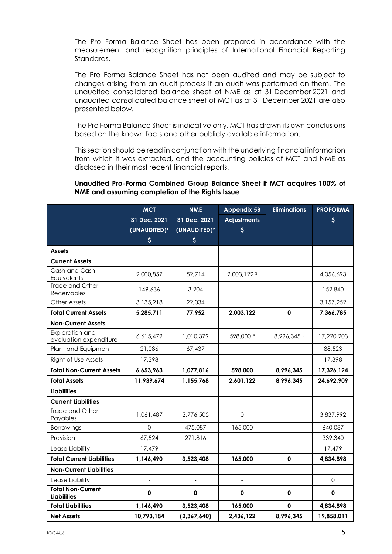The Pro Forma Balance Sheet has been prepared in accordance with the measurement and recognition principles of International Financial Reporting Standards.

The Pro Forma Balance Sheet has not been audited and may be subject to changes arising from an audit process if an audit was performed on them. The unaudited consolidated balance sheet of NME as at 31 December 2021 and unaudited consolidated balance sheet of MCT as at 31 December 2021 are also presented below.

The Pro Forma Balance Sheet is indicative only. MCT has drawn its own conclusions based on the known facts and other publicly available information.

This section should be read in conjunction with the underlying financial information from which it was extracted, and the accounting policies of MCT and NME as disclosed in their most recent financial reports.

#### **Unaudited Pro-Forma Combined Group Balance Sheet if MCT acquires 100% of NME and assuming completion of the Rights Issue**

|                                                | <b>MCT</b>               | <b>NME</b>               | <b>Appendix 5B</b>  | <b>Eliminations</b> | <b>PROFORMA</b>     |
|------------------------------------------------|--------------------------|--------------------------|---------------------|---------------------|---------------------|
|                                                | 31 Dec. 2021             | 31 Dec. 2021             | <b>Adjustments</b>  |                     | S.                  |
|                                                | (UNAUDITED) <sup>1</sup> | (UNAUDITED) <sup>2</sup> | $\mathsf{S}$        |                     |                     |
|                                                | $\boldsymbol{\zeta}$     | $\boldsymbol{\xi}$       |                     |                     |                     |
| <b>Assets</b>                                  |                          |                          |                     |                     |                     |
| <b>Current Assets</b>                          |                          |                          |                     |                     |                     |
| Cash and Cash<br>Equivalents                   | 2,000,857                | 52,714                   | 2,003,1223          |                     | 4,056,693           |
| Trade and Other<br>Receivables                 | 149,636                  | 3,204                    |                     |                     | 152,840             |
| Other Assets                                   | 3,135,218                | 22,034                   |                     |                     | 3,157,252           |
| <b>Total Current Assets</b>                    | 5,285,711                | 77,952                   | 2,003,122           | $\mathbf 0$         | 7,366,785           |
| <b>Non-Current Assets</b>                      |                          |                          |                     |                     |                     |
| Exploration and<br>evaluation expenditure      | 6,615,479                | 1,010,379                | 598,000 4           | 8,996,345 5         | 17,220,203          |
| Plant and Equipment                            | 21,086                   | 67,437                   |                     |                     | 88,523              |
| Right of Use Assets                            | 17,398                   |                          |                     |                     | 17,398              |
| <b>Total Non-Current Assets</b>                | 6,653,963                | 1,077,816                | 598,000             | 8,996,345           | 17,326,124          |
| <b>Total Assets</b>                            | 11,939,674               | 1,155,768                | 2,601,122           | 8,996,345           | 24,692,909          |
| <b>Liabilities</b>                             |                          |                          |                     |                     |                     |
| <b>Current Liabilities</b>                     |                          |                          |                     |                     |                     |
| Trade and Other<br>Payables                    | 1,061,487                | 2,776,505                | $\Omega$            |                     | 3,837,992           |
| <b>Borrowings</b>                              | $\Omega$                 | 475,087                  | 165,000             |                     | 640,087             |
| Provision                                      | 67,524                   | 271,816                  |                     |                     | 339,340             |
| Lease Liability                                | 17,479                   |                          |                     |                     | 17,479              |
| <b>Total Current Liabilities</b>               | 1,146,490                | 3,523,408                | 165,000             | $\mathbf 0$         | 4,834,898           |
| <b>Non-Current Liabilities</b>                 |                          |                          |                     |                     |                     |
| Lease Liability                                | $\overline{a}$           | $\blacksquare$           | $\bar{\phantom{a}}$ |                     | $\mathsf{O}\xspace$ |
| <b>Total Non-Current</b><br><b>Liabilities</b> | 0                        | 0                        | 0                   | $\mathbf 0$         | 0                   |
| <b>Total Liabilities</b>                       | 1,146,490                | 3,523,408                | 165,000             | $\mathbf 0$         | 4,834,898           |
| <b>Net Assets</b>                              | 10,793,184               | (2,367,640)              | 2,436,122           | 8,996,345           | 19,858,011          |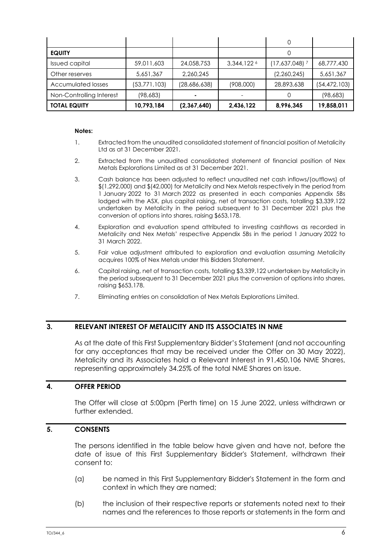| <b>EQUITY</b>            |                |              |             |                             |                |
|--------------------------|----------------|--------------|-------------|-----------------------------|----------------|
| <b>Issued capital</b>    | 59,011,603     | 24,058,753   | 3,344,122 6 | $(17,637,048)$ <sup>7</sup> | 68,777,430     |
| Other reserves           | 5,651,367      | 2,260,245    |             | (2,260,245)                 | 5,651,367      |
| Accumulated losses       | (53, 771, 103) | (28,686,638) | (908,000)   | 28,893,638                  | (54, 472, 103) |
| Non-Controlling Interest | (98, 683)      |              |             |                             | (98, 683)      |
| <b>TOTAL EQUITY</b>      | 10,793,184     | (2,367,640)  | 2,436,122   | 8,996,345                   | 19,858,011     |

#### **Notes:**

- 1. Extracted from the unaudited consolidated statement of financial position of Metalicity Ltd as at 31 December 2021.
- 2. Extracted from the unaudited consolidated statement of financial position of Nex Metals Explorations Limited as at 31 December 2021.
- 3. Cash balance has been adjusted to reflect unaudited net cash inflows/(outflows) of \$(1,292,000) and \$(42,000) for Metalicity and Nex Metals respectively in the period from 1 January 2022 to 31 March 2022 as presented in each companies Appendix 5Bs lodged with the ASX, plus capital raising, net of transaction costs, totalling \$3,339,122 undertaken by Metalicity in the period subsequent to 31 December 2021 plus the conversion of options into shares, raising \$653,178.
- 4. Exploration and evaluation spend attributed to investing cashflows as recorded in Metalicity and Nex Metals' respective Appendix 5Bs in the period 1 January 2022 to 31 March 2022.
- 5. Fair value adjustment attributed to exploration and evaluation assuming Metalicity acquires 100% of Nex Metals under this Bidders Statement.
- 6. Capital raising, net of transaction costs, totalling \$3,339,122 undertaken by Metalicity in the period subsequent to 31 December 2021 plus the conversion of options into shares, raising \$653,178.
- 7. Eliminating entries on consolidation of Nex Metals Explorations Limited.

#### **3. RELEVANT INTEREST OF METALICITY AND ITS ASSOCIATES IN NME**

As at the date of this First Supplementary Bidder's Statement (and not accounting for any acceptances that may be received under the Offer on 30 May 2022), Metalicity and its Associates hold a Relevant Interest in 91,450,106 NME Shares, representing approximately 34.25% of the total NME Shares on issue.

#### **4. OFFER PERIOD**

The Offer will close at 5:00pm (Perth time) on 15 June 2022, unless withdrawn or further extended.

#### **5. CONSENTS**

The persons identified in the table below have given and have not, before the date of issue of this First Supplementary Bidder's Statement, withdrawn their consent to:

- (a) be named in this First Supplementary Bidder's Statement in the form and context in which they are named;
- (b) the inclusion of their respective reports or statements noted next to their names and the references to those reports or statements in the form and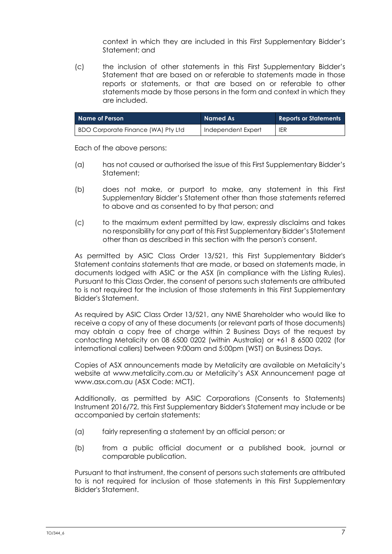context in which they are included in this First Supplementary Bidder's Statement; and

(c) the inclusion of other statements in this First Supplementary Bidder's Statement that are based on or referable to statements made in those reports or statements, or that are based on or referable to other statements made by those persons in the form and context in which they are included.

| Name of Person                            | Named As           | <b>Reports or Statements</b> |
|-------------------------------------------|--------------------|------------------------------|
| <b>BDO Corporate Finance (WA) Pty Ltd</b> | Independent Expert | <b>IER</b>                   |

Each of the above persons:

- (a) has not caused or authorised the issue of this First Supplementary Bidder's Statement;
- (b) does not make, or purport to make, any statement in this First Supplementary Bidder's Statement other than those statements referred to above and as consented to by that person; and
- (c) to the maximum extent permitted by law, expressly disclaims and takes no responsibility for any part of this First Supplementary Bidder's Statement other than as described in this section with the person's consent.

As permitted by ASIC Class Order 13/521, this First Supplementary Bidder's Statement contains statements that are made, or based on statements made, in documents lodged with ASIC or the ASX (in compliance with the Listing Rules). Pursuant to this Class Order, the consent of persons such statements are attributed to is not required for the inclusion of those statements in this First Supplementary Bidder's Statement.

As required by ASIC Class Order 13/521, any NME Shareholder who would like to receive a copy of any of these documents (or relevant parts of those documents) may obtain a copy free of charge within 2 Business Days of the request by contacting Metalicity on 08 6500 0202 (within Australia) or +61 8 6500 0202 (for international callers) between 9:00am and 5:00pm (WST) on Business Days.

Copies of ASX announcements made by Metalicity are available on Metalicity's website at [www.metalicity.com.au](http://www.metalicity.com.au/) or Metalicity's ASX Announcement page at www.asx.com.au (ASX Code: MCT).

Additionally, as permitted by ASIC Corporations (Consents to Statements) Instrument 2016/72, this First Supplementary Bidder's Statement may include or be accompanied by certain statements:

- (a) fairly representing a statement by an official person; or
- (b) from a public official document or a published book, journal or comparable publication.

Pursuant to that instrument, the consent of persons such statements are attributed to is not required for inclusion of those statements in this First Supplementary Bidder's Statement.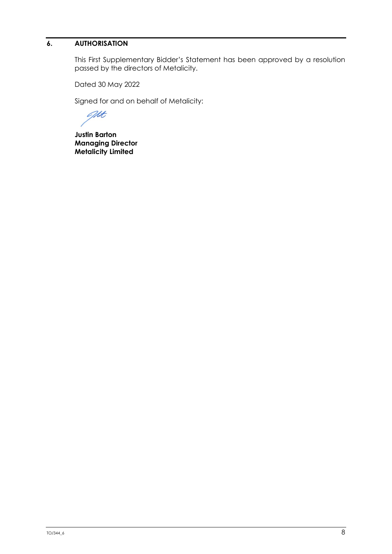# **6. AUTHORISATION**

This First Supplementary Bidder's Statement has been approved by a resolution passed by the directors of Metalicity.

Dated 30 May 2022

Signed for and on behalf of Metalicity:

art

**Justin Barton Managing Director Metalicity Limited**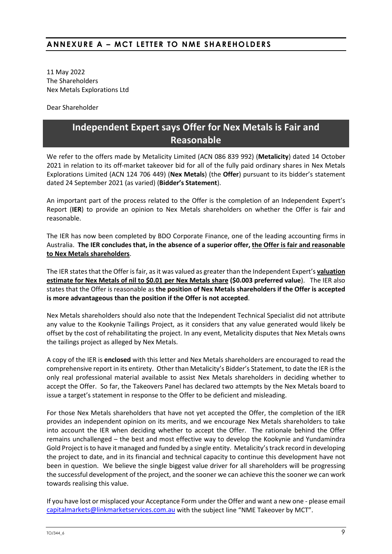# **ANNEXURE A – MCT LETTER TO NME SHAREHOLDERS**

11 May 2022 The Shareholders Nex Metals Explorations Ltd

Dear Shareholder

# **Independent Expert says Offer for Nex Metals is Fair and Reasonable**

We refer to the offers made by Metalicity Limited (ACN 086 839 992) (**Metalicity**) dated 14 October 2021 in relation to its off-market takeover bid for all of the fully paid ordinary shares in Nex Metals Explorations Limited (ACN 124 706 449) (**Nex Metals**) (the **Offer**) pursuant to its bidder's statement dated 24 September 2021 (as varied) (**Bidder's Statement**).

An important part of the process related to the Offer is the completion of an Independent Expert's Report (**IER**) to provide an opinion to Nex Metals shareholders on whether the Offer is fair and reasonable.

The IER has now been completed by BDO Corporate Finance, one of the leading accounting firms in Australia. **The IER concludes that, in the absence of a superior offer, the Offer is fair and reasonable to Nex Metals shareholders**.

The IER states that the Offer is fair, as it was valued as greater than the Independent Expert's **valuation estimate for Nex Metals of nil to \$0.01 per Nex Metals share (\$0.003 preferred value**). The IER also states that the Offer is reasonable as **the position of Nex Metals shareholders if the Offer is accepted is more advantageous than the position if the Offer is not accepted**.

Nex Metals shareholders should also note that the Independent Technical Specialist did not attribute any value to the Kookynie Tailings Project, as it considers that any value generated would likely be offset by the cost of rehabilitating the project. In any event, Metalicity disputes that Nex Metals owns the tailings project as alleged by Nex Metals.

A copy of the IER is **enclosed** with this letter and Nex Metals shareholders are encouraged to read the comprehensive report in its entirety. Other than Metalicity's Bidder's Statement, to date the IER is the only real professional material available to assist Nex Metals shareholders in deciding whether to accept the Offer. So far, the Takeovers Panel has declared two attempts by the Nex Metals board to issue a target's statement in response to the Offer to be deficient and misleading.

For those Nex Metals shareholders that have not yet accepted the Offer, the completion of the IER provides an independent opinion on its merits, and we encourage Nex Metals shareholders to take into account the IER when deciding whether to accept the Offer. The rationale behind the Offer remains unchallenged – the best and most effective way to develop the Kookynie and Yundamindra Gold Project is to have it managed and funded by a single entity. Metalicity's track record in developing the project to date, and in its financial and technical capacity to continue this development have not been in question. We believe the single biggest value driver for all shareholders will be progressing the successful development of the project, and the sooner we can achieve this the sooner we can work towards realising this value.

If you have lost or misplaced your Acceptance Form under the Offer and want a new one - please email [capitalmarkets@linkmarketservices.com.au](mailto:capitalmarkets@linkmarketservices.com.au) with the subject line "NME Takeover by MCT".